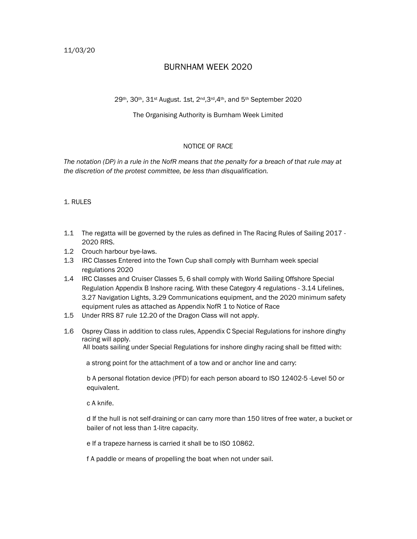# BURNHAM WEEK 2020

## 29th, 30th, 31st August. 1st, 2nd,3rd,4th, and 5th September 2020

### The Organising Authority is Burnham Week Limited

## NOTICE OF RACE

The notation (DP) in a rule in the NofR means that the penalty for a breach of that rule may at the discretion of the protest committee, be less than disqualification.

### 1. RULES

- 1.1 The regatta will be governed by the rules as defined in The Racing Rules of Sailing 2017 2020 RRS.
- 1.2 Crouch harbour bye-laws.
- 1.3 IRC Classes Entered into the Town Cup shall comply with Burnham week special regulations 2020
- 1.4 IRC Classes and Cruiser Classes 5, 6 shall comply with World Sailing Offshore Special Regulation Appendix B Inshore racing. With these Category 4 regulations - 3.14 Lifelines, 3.27 Navigation Lights, 3.29 Communications equipment, and the 2020 minimum safety equipment rules as attached as Appendix NofR 1 to Notice of Race
- 1.5 Under RRS 87 rule 12.20 of the Dragon Class will not apply.
- 1.6 Osprey Class in addition to class rules, Appendix C Special Regulations for inshore dinghy racing will apply. All boats sailing under Special Regulations for inshore dinghy racing shall be fitted with:

a strong point for the attachment of a tow and or anchor line and carry:

b A personal flotation device (PFD) for each person aboard to ISO 12402-5 -Level 50 or equivalent.

c A knife.

d If the hull is not self-draining or can carry more than 150 litres of free water, a bucket or bailer of not less than 1-litre capacity.

e If a trapeze harness is carried it shall be to ISO 10862.

f A paddle or means of propelling the boat when not under sail.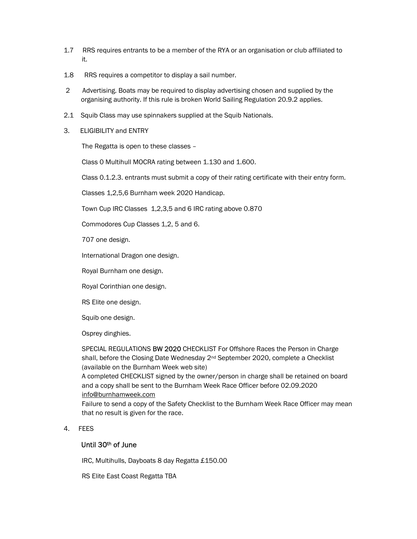- 1.7 RRS requires entrants to be a member of the RYA or an organisation or club affiliated to it.
- 1.8 RRS requires a competitor to display a sail number.
- 2 Advertising. Boats may be required to display advertising chosen and supplied by the organising authority. If this rule is broken World Sailing Regulation 20.9.2 applies.
- 2.1 Squib Class may use spinnakers supplied at the Squib Nationals.
- 3. ELIGIBILITY and ENTRY

The Regatta is open to these classes –

Class 0 Multihull MOCRA rating between 1.130 and 1.600.

Class 0.1.2.3. entrants must submit a copy of their rating certificate with their entry form.

Classes 1,2,5,6 Burnham week 2020 Handicap.

Town Cup IRC Classes 1,2,3,5 and 6 IRC rating above 0.870

Commodores Cup Classes 1,2, 5 and 6.

707 one design.

International Dragon one design.

Royal Burnham one design.

Royal Corinthian one design.

RS Elite one design.

Squib one design.

Osprey dinghies.

SPECIAL REGULATIONS BW 2020 CHECKLIST For Offshore Races the Person in Charge shall, before the Closing Date Wednesday 2<sup>nd</sup> September 2020, complete a Checklist (available on the Burnham Week web site)

A completed CHECKLIST signed by the owner/person in charge shall be retained on board and a copy shall be sent to the Burnham Week Race Officer before 02.09.2020 info@burnhamweek.com

Failure to send a copy of the Safety Checklist to the Burnham Week Race Officer may mean that no result is given for the race.

#### 4. FEES

# Until 30th of June

IRC, Multihulls, Dayboats 8 day Regatta £150.00

RS Elite East Coast Regatta TBA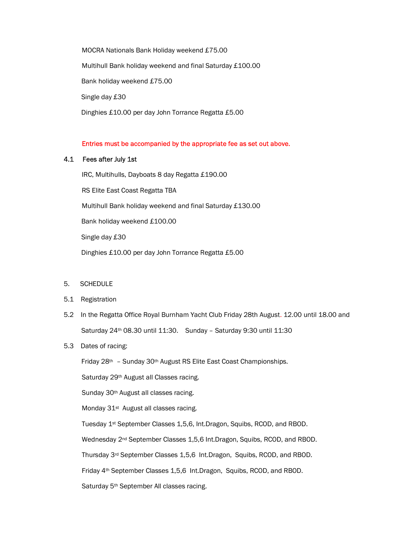MOCRA Nationals Bank Holiday weekend £75.00 Multihull Bank holiday weekend and final Saturday £100.00 Bank holiday weekend £75.00 Single day £30 Dinghies £10.00 per day John Torrance Regatta £5.00

## Entries must be accompanied by the appropriate fee as set out above.

#### 4.1 Fees after July 1st

IRC, Multihulls, Dayboats 8 day Regatta £190.00 RS Elite East Coast Regatta TBA Multihull Bank holiday weekend and final Saturday £130.00 Bank holiday weekend £100.00 Single day £30 Dinghies £10.00 per day John Torrance Regatta £5.00

#### 5. SCHEDULE

#### 5.1 Registration

5.2 In the Regatta Office Royal Burnham Yacht Club Friday 28th August. 12.00 until 18.00 and Saturday 24th 08.30 until 11:30. Sunday – Saturday 9:30 until 11:30

#### 5.3 Dates of racing:

Friday 28th – Sunday 30th August RS Elite East Coast Championships.

Saturday 29<sup>th</sup> August all Classes racing.

Sunday 30<sup>th</sup> August all classes racing.

Monday 31<sup>st</sup> August all classes racing.

Tuesday 1st September Classes 1,5,6, Int.Dragon, Squibs, RCOD, and RBOD.

Wednesday 2nd September Classes 1,5,6 Int.Dragon, Squibs, RCOD, and RBOD.

Thursday 3rd September Classes 1,5,6 Int.Dragon, Squibs, RCOD, and RBOD.

Friday 4th September Classes 1,5,6 Int.Dragon, Squibs, RCOD, and RBOD.

Saturday 5<sup>th</sup> September All classes racing.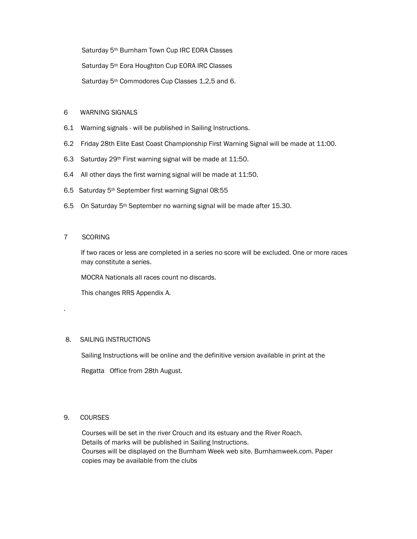Saturday 5<sup>th</sup> Burnham Town Cup IRC EORA Classes

Saturday 5<sup>th</sup> Eora Houghton Cup EORA IRC Classes

Saturday 5<sup>th</sup> Commodores Cup Classes 1,2,5 and 6.

## 6 WARNING SIGNALS

- 6.1 Warning signals will be published in Sailing Instructions.
- 6.2 Friday 28th Elite East Coast Championship First Warning Signal will be made at 11:00.
- 6.3 Saturday 29th First warning signal will be made at 11:50.
- 6.4 All other days the first warning signal will be made at 11:50.
- 6.5 Saturday 5th September first warning Signal 08:55
- 6.5 On Saturday 5<sup>th</sup> September no warning signal will be made after 15.30.

## 7 SCORING

.

If two races or less are completed in a series no score will be excluded. One or more races may constitute a series.

MOCRA Nationals all races count no discards.

This changes RRS Appendix A.

## 8. SAILING INSTRUCTIONS

Sailing Instructions will be online and the definitive version available in print at the

Regatta Office from 28th August.

## 9. COURSES

Courses will be set in the river Crouch and its estuary and the River Roach. Details of marks will be published in Sailing Instructions. Courses will be displayed on the Burnham Week web site. Burnhamweek.com. Paper copies may be available from the clubs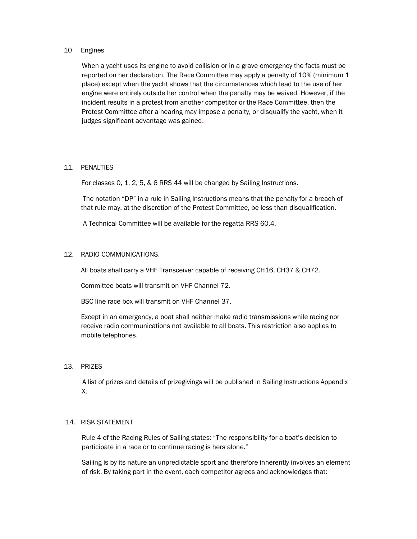#### 10 Engines

 When a yacht uses its engine to avoid collision or in a grave emergency the facts must be reported on her declaration. The Race Committee may apply a penalty of 10% (minimum 1 place) except when the yacht shows that the circumstances which lead to the use of her engine were entirely outside her control when the penalty may be waived. However, if the incident results in a protest from another competitor or the Race Committee, then the Protest Committee after a hearing may impose a penalty, or disqualify the yacht, when it judges significant advantage was gained.

#### 11. PENALTIES

For classes 0, 1, 2, 5, & 6 RRS 44 will be changed by Sailing Instructions.

 The notation "DP" in a rule in Sailing Instructions means that the penalty for a breach of that rule may, at the discretion of the Protest Committee, be less than disqualification.

A Technical Committee will be available for the regatta RRS 60.4.

## 12. RADIO COMMUNICATIONS.

All boats shall carry a VHF Transceiver capable of receiving CH16, CH37 & CH72.

Committee boats will transmit on VHF Channel 72.

BSC line race box will transmit on VHF Channel 37.

Except in an emergency, a boat shall neither make radio transmissions while racing nor receive radio communications not available to all boats. This restriction also applies to mobile telephones.

#### 13. PRIZES

 A list of prizes and details of prizegivings will be published in Sailing Instructions Appendix X.

#### 14. RISK STATEMENT

Rule 4 of the Racing Rules of Sailing states: "The responsibility for a boat's decision to participate in a race or to continue racing is hers alone."

Sailing is by its nature an unpredictable sport and therefore inherently involves an element of risk. By taking part in the event, each competitor agrees and acknowledges that: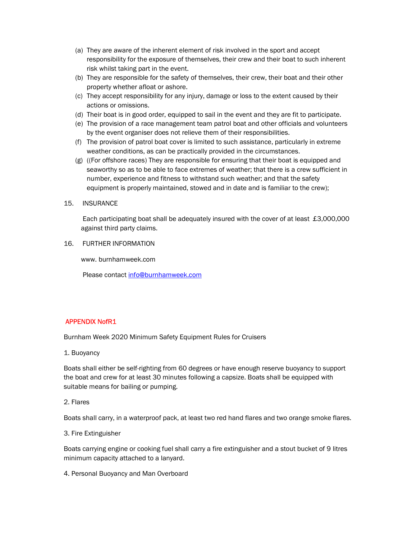- (a) They are aware of the inherent element of risk involved in the sport and accept responsibility for the exposure of themselves, their crew and their boat to such inherent risk whilst taking part in the event.
- (b) They are responsible for the safety of themselves, their crew, their boat and their other property whether afloat or ashore.
- (c) They accept responsibility for any injury, damage or loss to the extent caused by their actions or omissions.
- (d) Their boat is in good order, equipped to sail in the event and they are fit to participate.
- (e) The provision of a race management team patrol boat and other officials and volunteers by the event organiser does not relieve them of their responsibilities.
- (f) The provision of patrol boat cover is limited to such assistance, particularly in extreme weather conditions, as can be practically provided in the circumstances.
- (g) ((For offshore races) They are responsible for ensuring that their boat is equipped and seaworthy so as to be able to face extremes of weather; that there is a crew sufficient in number, experience and fitness to withstand such weather; and that the safety equipment is properly maintained, stowed and in date and is familiar to the crew);
- 15. INSURANCE

 Each participating boat shall be adequately insured with the cover of at least £3,000,000 against third party claims.

16. FURTHER INFORMATION

www. burnhamweek.com

Please contact info@burnhamweek.com

## APPENDIX NofR1

Burnham Week 2020 Minimum Safety Equipment Rules for Cruisers

1. Buoyancy

Boats shall either be self-righting from 60 degrees or have enough reserve buoyancy to support the boat and crew for at least 30 minutes following a capsize. Boats shall be equipped with suitable means for bailing or pumping.

#### 2. Flares

Boats shall carry, in a waterproof pack, at least two red hand flares and two orange smoke flares.

3. Fire Extinguisher

Boats carrying engine or cooking fuel shall carry a fire extinguisher and a stout bucket of 9 litres minimum capacity attached to a lanyard.

4. Personal Buoyancy and Man Overboard